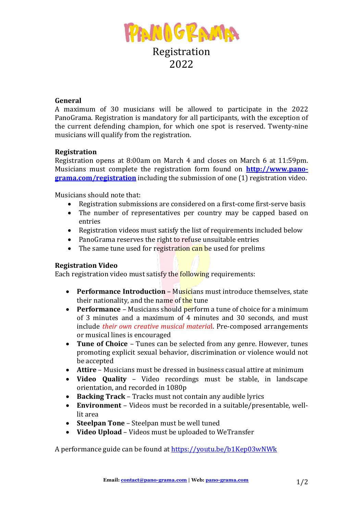

## **General**

A maximum of 30 musicians will be allowed to participate in the 2022 PanoGrama. Registration is mandatory for all participants, with the exception of the current defending champion, for which one spot is reserved. Twenty-nine musicians will qualify from the registration.

## **Registration**

Registration opens at 8:00am on March 4 and closes on March 6 at 11:59pm. Musicians must complete the registration form found on **http://www.panograma.com/registration** including the submission of one (1) registration video.

Musicians should note that:

- Registration submissions are considered on a first-come first-serve basis
- The number of representatives per country may be capped based on entries
- Registration videos must satisfy the list of requirements included below
- PanoGrama reserves the right to refuse unsuitable entries
- The same tune used for registration can be used for prelims

## **Registration Video**

Each registration video must satisfy the **following** requirements:

- **Performance Introduction** Musicians must introduce themselves, state their nationality, and the name of the tune
- **Performance** Musicians should **perform** a tune of choice for a minimum of 3 minutes and a maximum of 4 minutes and 30 seconds, and must include *their own creative musical material*. Pre-composed arrangements or musical lines is encouraged
- Tune of Choice Tunes can be selected from any genre. However, tunes promoting explicit sexual behavior, discrimination or violence would not be accepted
- **Attire** Musicians must be dressed in business casual attire at minimum
- **Video Quality** Video recordings must be stable, in landscape orientation, and recorded in 1080p
- **Backing Track** Tracks must not contain any audible lyrics
- **Environment** Videos must be recorded in a suitable/presentable, welllit area
- **Steelpan Tone** Steelpan must be well tuned
- Video Upload Videos must be uploaded to WeTransfer

A performance guide can be found at https://youtu.be/b1Kep03wNWk